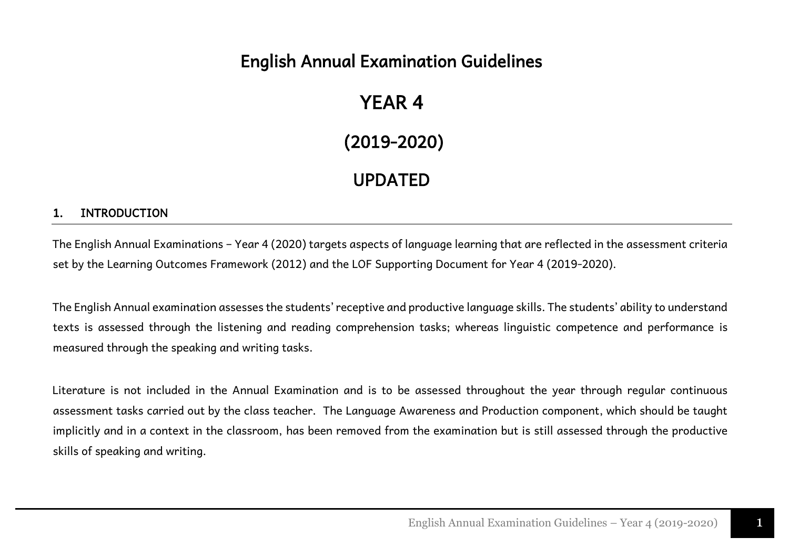## English Annual Examination Guidelines

## YEAR 4

(2019-2020)

## UPDATED

#### 1. INTRODUCTION

The English Annual Examinations – Year 4 (2020) targets aspects of language learning that are reflected in the assessment criteria set by the Learning Outcomes Framework (2012) and the LOF Supporting Document for Year 4 (2019-2020).

The English Annual examination assesses the students' receptive and productive language skills. The students' ability to understand texts is assessed through the listening and reading comprehension tasks; whereas linguistic competence and performance is measured through the speaking and writing tasks.

Literature is not included in the Annual Examination and is to be assessed throughout the year through regular continuous assessment tasks carried out by the class teacher. The Language Awareness and Production component, which should be taught implicitly and in a context in the classroom, has been removed from the examination but is still assessed through the productive skills of speaking and writing.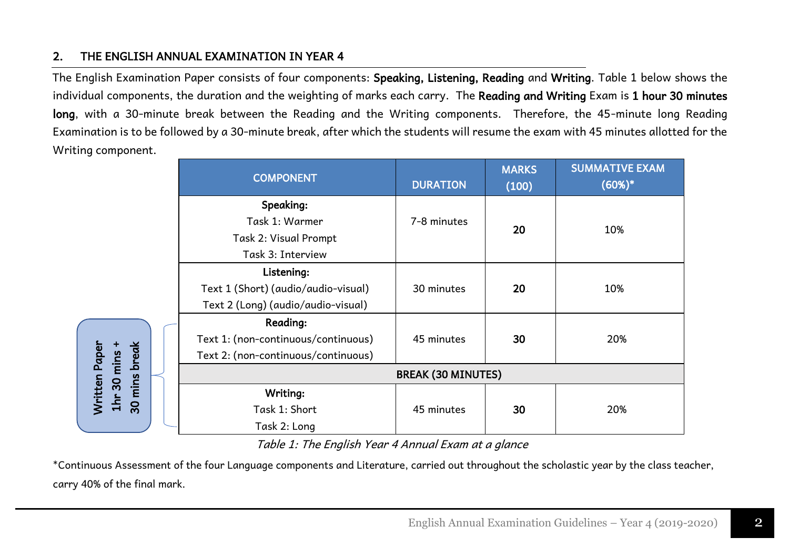#### 2. THE ENGLISH ANNUAL EXAMINATION IN YEAR 4

The English Examination Paper consists of four components: Speaking, Listening, Reading and Writing. Table 1 below shows the individual components, the duration and the weighting of marks each carry. The Reading and Writing Exam is 1 hour 30 minutes long, with a 30-minute break between the Reading and the Writing components. Therefore, the 45-minute long Reading Examination is to be followed by a 30-minute break, after which the students will resume the exam with 45 minutes allotted for the Writing component.

|                               | <b>COMPONENT</b>                                    |                           | <b>MARKS</b><br>(100) | <b>SUMMATIVE EXAM</b><br>$(60%)^*$ |
|-------------------------------|-----------------------------------------------------|---------------------------|-----------------------|------------------------------------|
|                               | Speaking:                                           |                           |                       |                                    |
|                               | Task 1: Warmer                                      | 7-8 minutes               | 20                    | 10%                                |
|                               | Task 2: Visual Prompt                               |                           |                       |                                    |
|                               | Task 3: Interview                                   |                           |                       |                                    |
|                               | Listening:                                          |                           |                       |                                    |
|                               | Text 1 (Short) (audio/audio-visual)                 | 30 minutes                | 20                    | 10%                                |
|                               | Text 2 (Long) (audio/audio-visual)                  |                           |                       |                                    |
|                               | <b>Reading:</b>                                     |                           |                       |                                    |
|                               | Text 1: (non-continuous/continuous)                 | 45 minutes                | 30                    | 20%                                |
| <b>Nritten Paper</b>          | Text 2: (non-continuous/continuous)                 |                           |                       |                                    |
| mins break<br>$1hr$ 30 mins + |                                                     | <b>BREAK (30 MINUTES)</b> |                       |                                    |
|                               | Writing:                                            |                           |                       |                                    |
| 30                            | Task 1: Short                                       | 45 minutes                | 30                    | 20%                                |
|                               | Task 2: Long                                        |                           |                       |                                    |
|                               | Table 1: The English Year 4 Annual Exam at a glance |                           |                       |                                    |

\*Continuous Assessment of the four Language components and Literature, carried out throughout the scholastic year by the class teacher,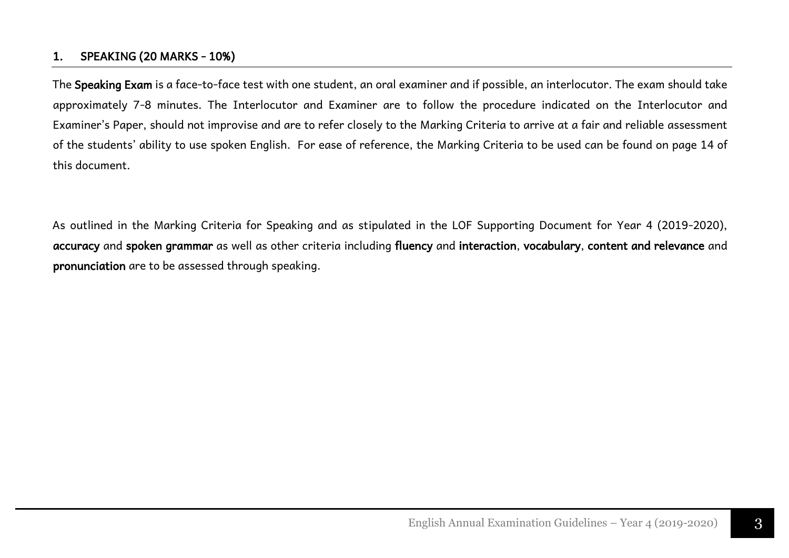#### 1. SPEAKING (20 MARKS - 10%)

The Speaking Exam is a face-to-face test with one student, an oral examiner and if possible, an interlocutor. The exam should take approximately 7-8 minutes. The Interlocutor and Examiner are to follow the procedure indicated on the Interlocutor and Examiner's Paper, should not improvise and are to refer closely to the Marking Criteria to arrive at a fair and reliable assessment of the students' ability to use spoken English. For ease of reference, the Marking Criteria to be used can be found on page 14 of this document.

As outlined in the Marking Criteria for Speaking and as stipulated in the LOF Supporting Document for Year 4 (2019-2020), accuracy and spoken grammar as well as other criteria including fluency and interaction, vocabulary, content and relevance and pronunciation are to be assessed through speaking.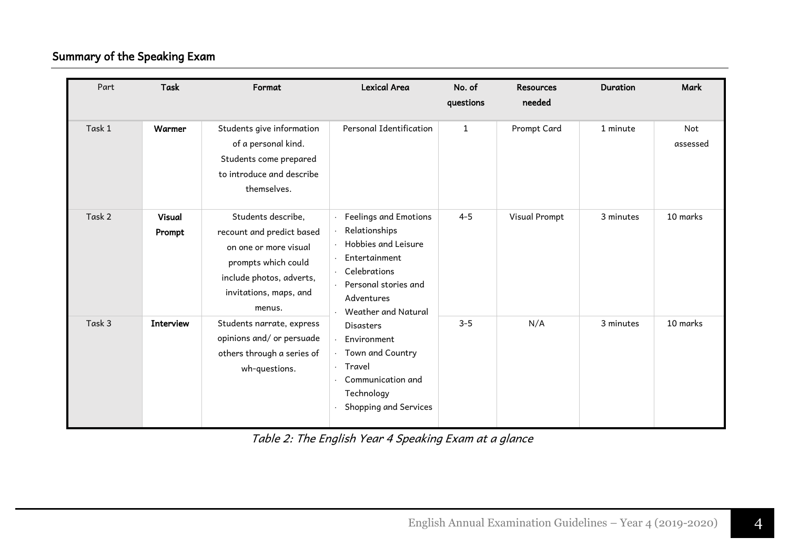### Summary of the Speaking Exam

| Part   | <b>Task</b>             | Format                                                                                                                                                          | <b>Lexical Area</b>                                                                                                                                         | No. of<br>questions | <b>Resources</b><br>needed | <b>Duration</b> | Mark            |
|--------|-------------------------|-----------------------------------------------------------------------------------------------------------------------------------------------------------------|-------------------------------------------------------------------------------------------------------------------------------------------------------------|---------------------|----------------------------|-----------------|-----------------|
| Task 1 | Warmer                  | Students give information<br>of a personal kind.<br>Students come prepared<br>to introduce and describe<br>themselves.                                          | Personal Identification                                                                                                                                     | $\mathbf{1}$        | Prompt Card                | 1 minute        | Not<br>assessed |
| Task 2 | <b>Visual</b><br>Prompt | Students describe,<br>recount and predict based<br>on one or more visual<br>prompts which could<br>include photos, adverts,<br>invitations, maps, and<br>menus. | Feelings and Emotions<br>Relationships<br>Hobbies and Leisure<br>Entertainment<br>Celebrations<br>Personal stories and<br>Adventures<br>Weather and Natural | $4 - 5$             | Visual Prompt              | 3 minutes       | 10 marks        |
| Task 3 | <b>Interview</b>        | Students narrate, express<br>opinions and/ or persuade<br>others through a series of<br>wh-questions.                                                           | <b>Disasters</b><br>Environment<br>Town and Country<br>Travel<br>Communication and<br>Technology<br>Shopping and Services                                   | $3 - 5$             | N/A                        | 3 minutes       | 10 marks        |

Table 2: The English Year 4 Speaking Exam at a glance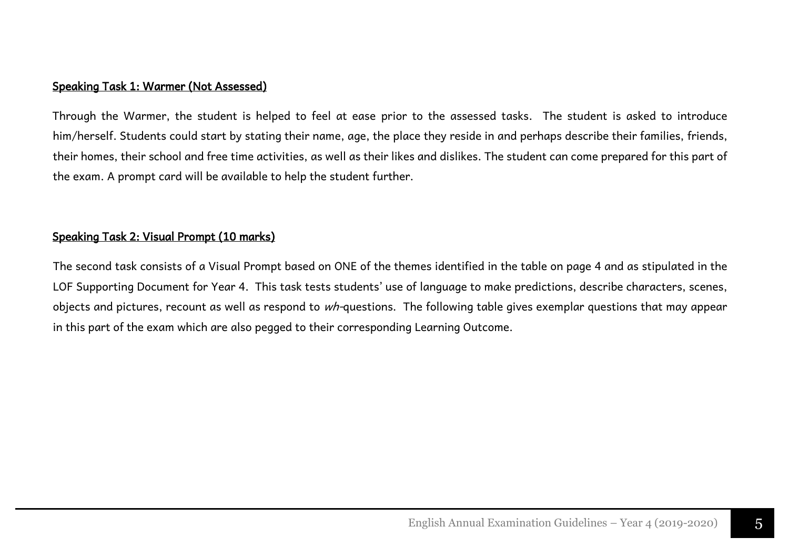#### Speaking Task 1: Warmer (Not Assessed)

Through the Warmer, the student is helped to feel at ease prior to the assessed tasks. The student is asked to introduce him/herself. Students could start by stating their name, age, the place they reside in and perhaps describe their families, friends, their homes, their school and free time activities, as well as their likes and dislikes. The student can come prepared for this part of the exam. A prompt card will be available to help the student further.

#### Speaking Task 2: Visual Prompt (10 marks)

The second task consists of a Visual Prompt based on ONE of the themes identified in the table on page 4 and as stipulated in the LOF Supporting Document for Year 4. This task tests students' use of language to make predictions, describe characters, scenes, objects and pictures, recount as well as respond to wh-questions. The following table gives exemplar questions that may appear in this part of the exam which are also pegged to their corresponding Learning Outcome.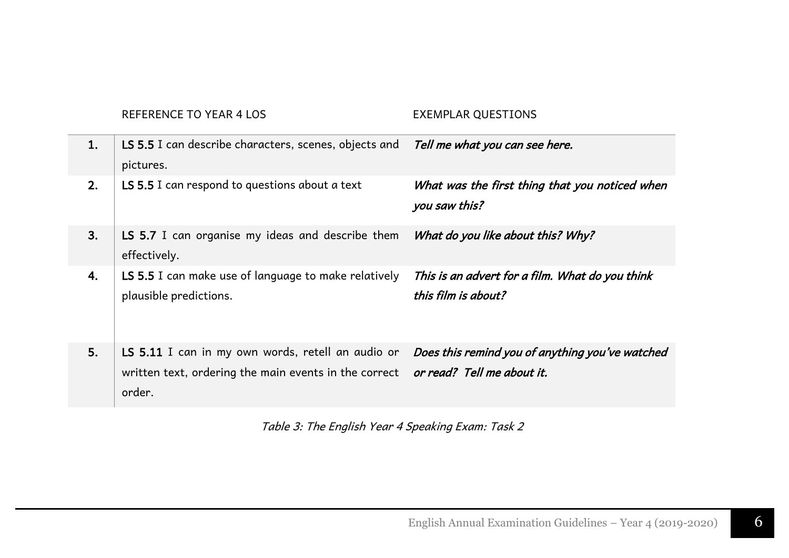REFERENCE TO YEAR 4 LOS EXEMPLAR QUESTIONS

| 1. | LS 5.5 I can describe characters, scenes, objects and<br>pictures.                                                                              | Tell me what you can see here.                                         |
|----|-------------------------------------------------------------------------------------------------------------------------------------------------|------------------------------------------------------------------------|
| 2. | LS 5.5 I can respond to questions about a text                                                                                                  | What was the first thing that you noticed when<br>you saw this?        |
| 3. | LS 5.7 I can organise my ideas and describe them<br>effectively.                                                                                | What do you like about this? Why?                                      |
| 4. | LS 5.5 I can make use of language to make relatively<br>plausible predictions.                                                                  | This is an advert for a film. What do you think<br>this film is about? |
| 5. | LS 5.11 I can in my own words, retell an audio or<br>written text, ordering the main events in the correct or read? Tell me about it.<br>order. | Does this remind you of anything you've watched                        |

Table 3: The English Year 4 Speaking Exam: Task 2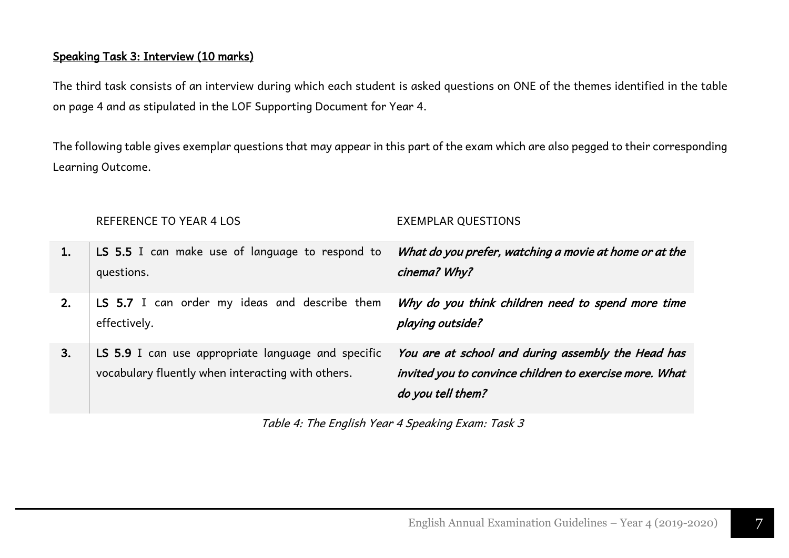#### Speaking Task 3: Interview (10 marks)

The third task consists of an interview during which each student is asked questions on ONE of the themes identified in the table on page 4 and as stipulated in the LOF Supporting Document for Year 4.

The following table gives exemplar questions that may appear in this part of the exam which are also pegged to their corresponding Learning Outcome.

|    | REFERENCE TO YEAR 4 LOS                                                                                 | <b>EXEMPLAR QUESTIONS</b>                                                                                                          |
|----|---------------------------------------------------------------------------------------------------------|------------------------------------------------------------------------------------------------------------------------------------|
|    | <b>LS 5.5</b> I can make use of language to respond to<br>questions.                                    | What do you prefer, watching a movie at home or at the<br>cinema? Why?                                                             |
| 2. | LS 5.7 I can order my ideas and describe them<br>effectively.                                           | Why do you think children need to spend more time<br>playing outside?                                                              |
| 3. | LS 5.9 I can use appropriate language and specific<br>vocabulary fluently when interacting with others. | You are at school and during assembly the Head has<br>invited you to convince children to exercise more. What<br>do you tell them? |

Table 4: The English Year 4 Speaking Exam: Task 3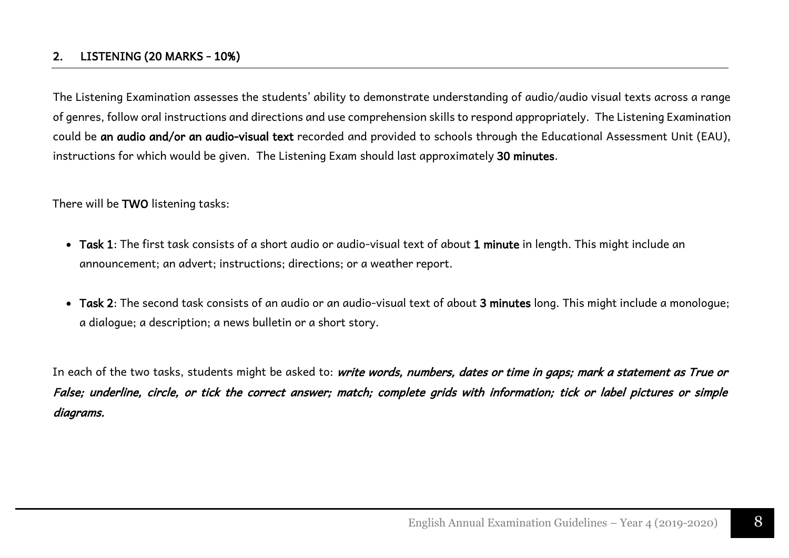#### 2. LISTENING (20 MARKS - 10%)

The Listening Examination assesses the students' ability to demonstrate understanding of audio/audio visual texts across a range of genres, follow oral instructions and directions and use comprehension skills to respond appropriately. The Listening Examination could be an audio and/or an audio-visual text recorded and provided to schools through the Educational Assessment Unit (EAU), instructions for which would be given. The Listening Exam should last approximately 30 minutes.

There will be TWO listening tasks:

- Task 1: The first task consists of a short audio or audio-visual text of about 1 minute in length. This might include an announcement; an advert; instructions; directions; or a weather report.
- Task 2: The second task consists of an audio or an audio-visual text of about 3 minutes long. This might include a monologue; a dialogue; a description; a news bulletin or a short story.

In each of the two tasks, students might be asked to: write words, numbers, dates or time in gaps; mark a statement as True or False; underline, circle, or tick the correct answer; match; complete grids with information; tick or label pictures or simple diagrams.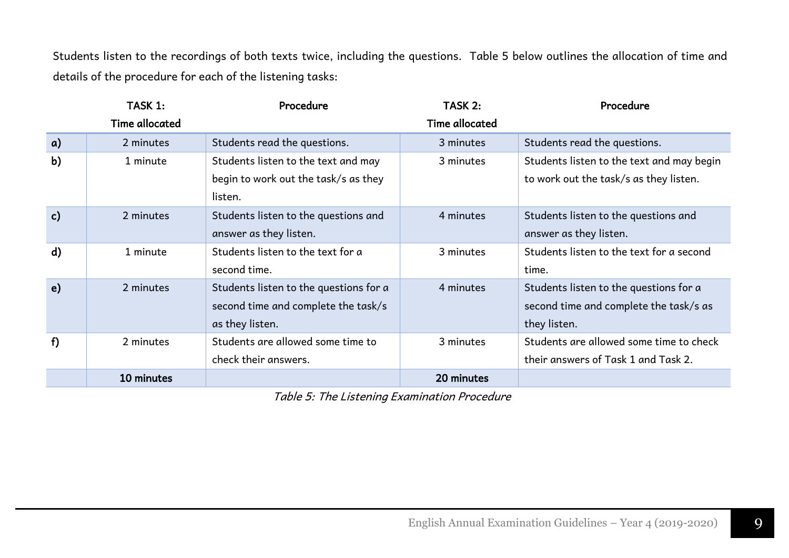Students listen to the recordings of both texts twice, including the questions. Table 5 below outlines the allocation of time and details of the procedure for each of the listening tasks:

|                  | TASK 1:               | Procedure                              | TASK 2:               | Procedure                                 |
|------------------|-----------------------|----------------------------------------|-----------------------|-------------------------------------------|
|                  | <b>Time allocated</b> |                                        | <b>Time allocated</b> |                                           |
| $\mathfrak{a}$ ) | 2 minutes             | Students read the questions.           | 3 minutes             | Students read the questions.              |
| b)               | 1 minute              | Students listen to the text and may    | 3 minutes             | Students listen to the text and may begin |
|                  |                       | begin to work out the task/s as they   |                       | to work out the task/s as they listen.    |
|                  |                       | listen.                                |                       |                                           |
| c)               | 2 minutes             | Students listen to the questions and   | 4 minutes             | Students listen to the questions and      |
|                  |                       | answer as they listen.                 |                       | answer as they listen.                    |
| d)               | 1 minute              | Students listen to the text for a      | 3 minutes             | Students listen to the text for a second  |
|                  |                       | second time.                           |                       | time.                                     |
| e)               | 2 minutes             | Students listen to the questions for a | 4 minutes             | Students listen to the questions for a    |
|                  |                       | second time and complete the task/s    |                       | second time and complete the task/s as    |
|                  |                       | as they listen.                        |                       | they listen.                              |
| f)               | 2 minutes             | Students are allowed some time to      | 3 minutes             | Students are allowed some time to check   |
|                  |                       | check their answers.                   |                       | their answers of Task 1 and Task 2.       |
|                  | 10 minutes            |                                        | 20 minutes            |                                           |

Table 5: The Listening Examination Procedure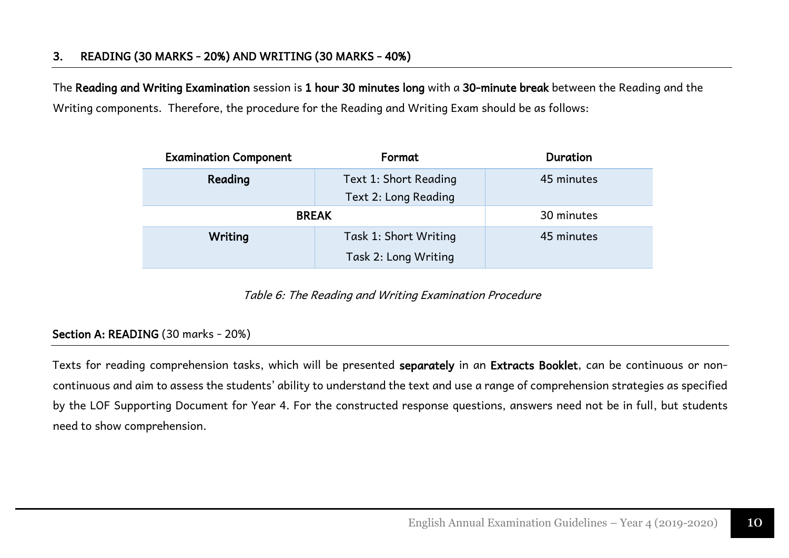The Reading and Writing Examination session is 1 hour 30 minutes long with a 30-minute break between the Reading and the Writing components. Therefore, the procedure for the Reading and Writing Exam should be as follows:

| <b>Examination Component</b> | Format                                        | Duration   |
|------------------------------|-----------------------------------------------|------------|
| Reading                      | Text 1: Short Reading<br>Text 2: Long Reading | 45 minutes |
|                              | <b>BREAK</b>                                  | 30 minutes |
| Writing                      | Task 1: Short Writing<br>Task 2: Long Writing | 45 minutes |

Table 6: The Reading and Writing Examination Procedure

#### Section A: READING (30 marks - 20%)

Texts for reading comprehension tasks, which will be presented separately in an Extracts Booklet, can be continuous or noncontinuous and aim to assess the students' ability to understand the text and use a range of comprehension strategies as specified by the LOF Supporting Document for Year 4. For the constructed response questions, answers need not be in full, but students need to show comprehension.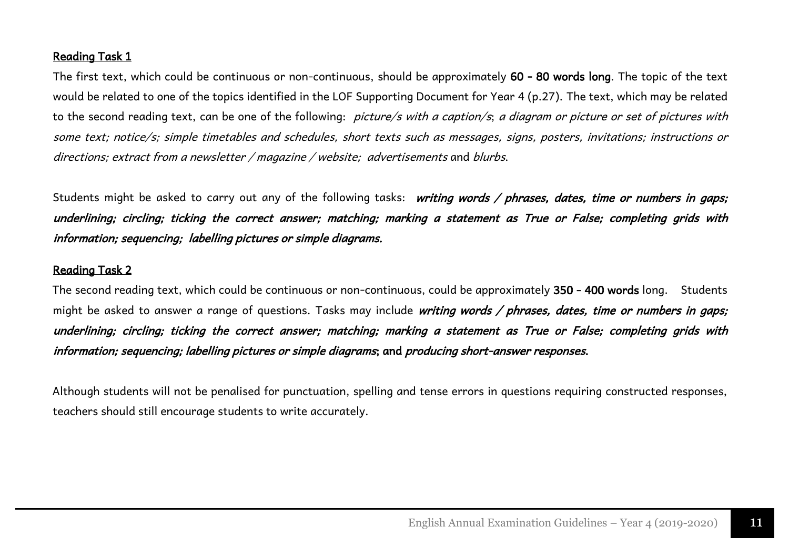#### Reading Task 1

The first text, which could be continuous or non-continuous, should be approximately 60 - 80 words long. The topic of the text would be related to one of the topics identified in the LOF Supporting Document for Year 4 (p.27). The text, which may be related to the second reading text, can be one of the following: *picture/s with a caption/s; a diagram or picture or set of pictures with* some text; notice/s; simple timetables and schedules, short texts such as messages, signs, posters, invitations; instructions or directions; extract from a newsletter / magazine / website; advertisements and blurbs.

Students might be asked to carry out any of the following tasks: writing words / phrases, dates, time or numbers in gaps; underlining; circling; ticking the correct answer; matching; marking a statement as True or False; completing grids with information; sequencing; labelling pictures or simple diagrams.

#### Reading Task 2

The second reading text, which could be continuous or non-continuous, could be approximately 350 - 400 words long. Students might be asked to answer a range of questions. Tasks may include writing words / phrases, dates, time or numbers in gaps; underlining; circling; ticking the correct answer; matching; marking a statement as True or False; completing grids with information; sequencing; labelling pictures or simple diagrams; and producing short-answer responses.

Although students will not be penalised for punctuation, spelling and tense errors in questions requiring constructed responses, teachers should still encourage students to write accurately.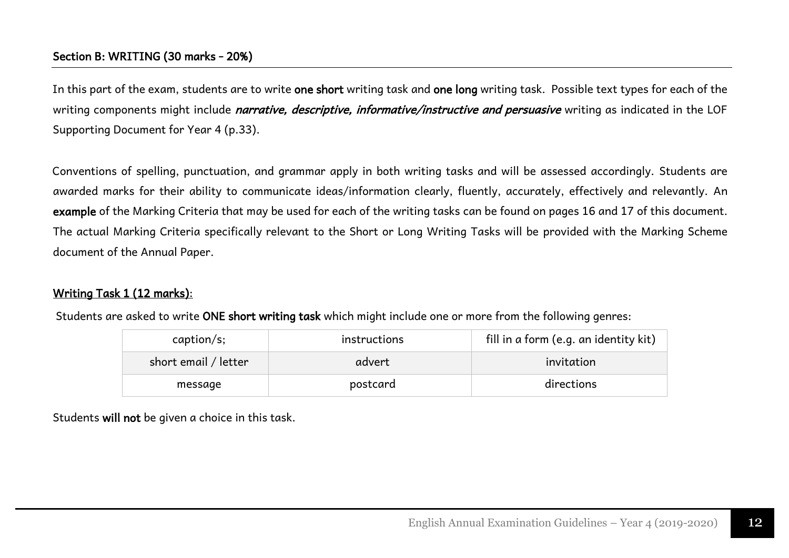#### Section B: WRITING (30 marks - 20%)

In this part of the exam, students are to write one short writing task and one long writing task. Possible text types for each of the writing components might include *narrative, descriptive, informative/instructive and persuasive* writing as indicated in the LOF Supporting Document for Year 4 (p.33).

Conventions of spelling, punctuation, and grammar apply in both writing tasks and will be assessed accordingly. Students are awarded marks for their ability to communicate ideas/information clearly, fluently, accurately, effectively and relevantly. An example of the Marking Criteria that may be used for each of the writing tasks can be found on pages 16 and 17 of this document. The actual Marking Criteria specifically relevant to the Short or Long Writing Tasks will be provided with the Marking Scheme document of the Annual Paper.

#### Writing Task 1 (12 marks):

Students are asked to write ONE short writing task which might include one or more from the following genres:

| caption <sub>s</sub> : | instructions | fill in a form (e.g. an identity kit) |
|------------------------|--------------|---------------------------------------|
| short email / letter   | advert       | invitation                            |
| message                | postcard     | directions                            |

Students will not be given a choice in this task.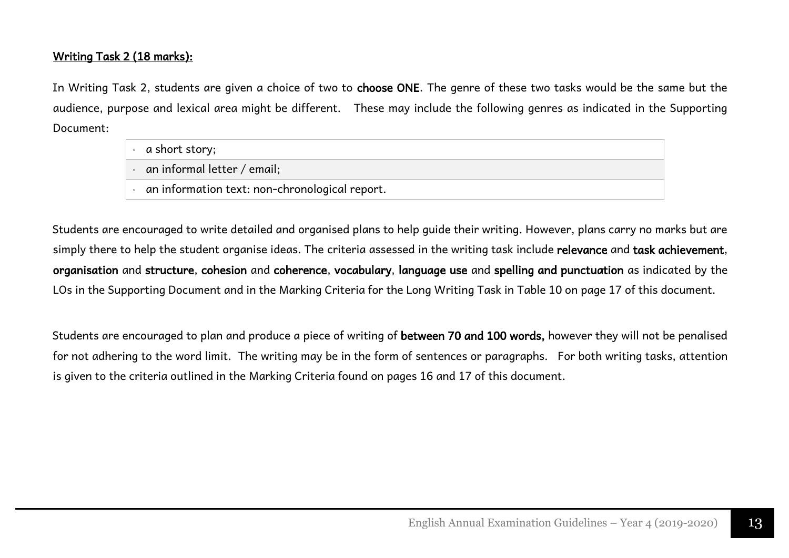#### Writing Task 2 (18 marks):

In Writing Task 2, students are given a choice of two to choose ONE. The genre of these two tasks would be the same but the audience, purpose and lexical area might be different. These may include the following genres as indicated in the Supporting Document:

|  | a short story;                                 |
|--|------------------------------------------------|
|  | an informal letter / email;                    |
|  | an information text: non-chronological report. |

Students are encouraged to write detailed and organised plans to help guide their writing. However, plans carry no marks but are simply there to help the student organise ideas. The criteria assessed in the writing task include relevance and task achievement, organisation and structure, cohesion and coherence, vocabulary, language use and spelling and punctuation as indicated by the LOs in the Supporting Document and in the Marking Criteria for the Long Writing Task in Table 10 on page 17 of this document.

Students are encouraged to plan and produce a piece of writing of between 70 and 100 words, however they will not be penalised for not adhering to the word limit. The writing may be in the form of sentences or paragraphs. For both writing tasks, attention is given to the criteria outlined in the Marking Criteria found on pages 16 and 17 of this document.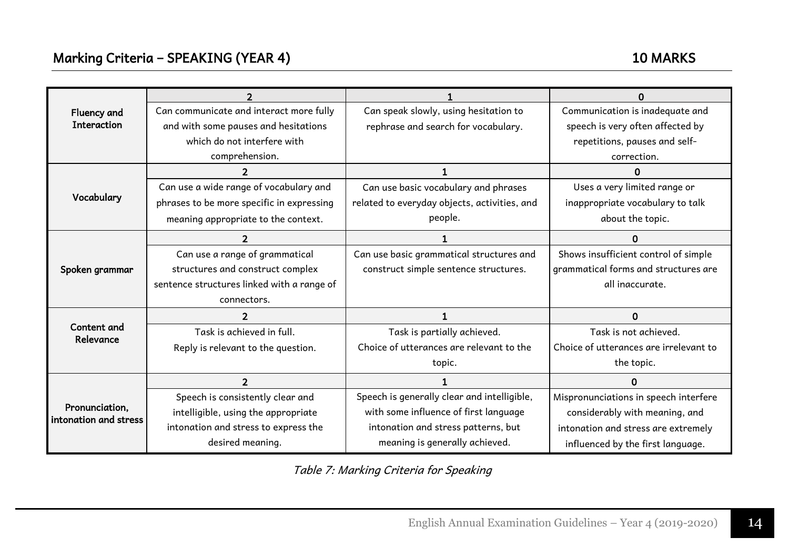| Fluency and                             | Can communicate and interact more fully    | Can speak slowly, using hesitation to        | Communication is inadequate and        |
|-----------------------------------------|--------------------------------------------|----------------------------------------------|----------------------------------------|
| <b>Interaction</b>                      | and with some pauses and hesitations       | rephrase and search for vocabulary.          | speech is very often affected by       |
|                                         | which do not interfere with                |                                              | repetitions, pauses and self-          |
|                                         | comprehension.                             |                                              | correction.                            |
|                                         |                                            |                                              | n                                      |
|                                         | Can use a wide range of vocabulary and     | Can use basic vocabulary and phrases         | Uses a very limited range or           |
| Vocabulary                              | phrases to be more specific in expressing  | related to everyday objects, activities, and | inappropriate vocabulary to talk       |
|                                         | meaning appropriate to the context.        | people.                                      | about the topic.                       |
|                                         |                                            |                                              | U                                      |
|                                         | Can use a range of grammatical             | Can use basic grammatical structures and     | Shows insufficient control of simple   |
| Spoken grammar                          | structures and construct complex           | construct simple sentence structures.        | grammatical forms and structures are   |
|                                         | sentence structures linked with a range of |                                              | all inaccurate.                        |
|                                         | connectors.                                |                                              |                                        |
|                                         | $\mathcal{P}$                              |                                              | $\Omega$                               |
| Content and<br>Relevance                | Task is achieved in full.                  | Task is partially achieved.                  | Task is not achieved.                  |
|                                         | Reply is relevant to the question.         | Choice of utterances are relevant to the     | Choice of utterances are irrelevant to |
|                                         |                                            | topic.                                       | the topic.                             |
|                                         | $\overline{2}$                             |                                              | $\Omega$                               |
|                                         | Speech is consistently clear and           | Speech is generally clear and intelligible,  | Mispronunciations in speech interfere  |
| Pronunciation,<br>intonation and stress | intelligible, using the appropriate        | with some influence of first language        | considerably with meaning, and         |
|                                         | intonation and stress to express the       | intonation and stress patterns, but          | intonation and stress are extremely    |
|                                         | desired meaning.                           | meaning is generally achieved.               | influenced by the first language.      |

Table 7: Marking Criteria for Speaking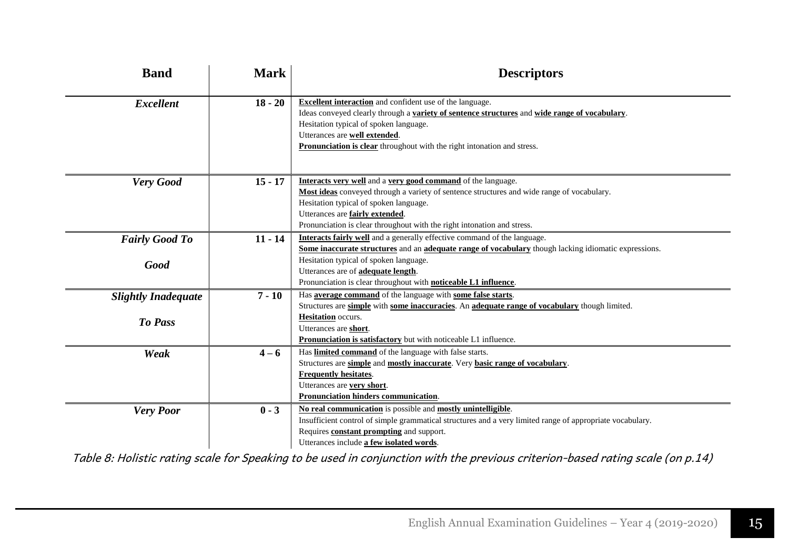| <b>Band</b>                           | <b>Mark</b> | <b>Descriptors</b>                                                                                                                                                                                                                                                                                                                                         |
|---------------------------------------|-------------|------------------------------------------------------------------------------------------------------------------------------------------------------------------------------------------------------------------------------------------------------------------------------------------------------------------------------------------------------------|
| <b>Excellent</b>                      | $18 - 20$   | <b>Excellent interaction</b> and confident use of the language.<br>Ideas conveyed clearly through a variety of sentence structures and wide range of vocabulary.<br>Hesitation typical of spoken language.<br>Utterances are well extended.<br>Pronunciation is clear throughout with the right intonation and stress.                                     |
| Very Good                             | $15 - 17$   | Interacts very well and a very good command of the language.<br>Most ideas conveyed through a variety of sentence structures and wide range of vocabulary.<br>Hesitation typical of spoken language.<br>Utterances are fairly extended.<br>Pronunciation is clear throughout with the right intonation and stress.                                         |
| <b>Fairly Good To</b><br>Good         | $11 - 14$   | <b>Interacts fairly well</b> and a generally effective command of the language.<br>Some inaccurate structures and an adequate range of vocabulary though lacking idiomatic expressions.<br>Hesitation typical of spoken language.<br>Utterances are of <b>adequate length</b> .<br>Pronunciation is clear throughout with <b>noticeable L1 influence</b> . |
| <b>Slightly Inadequate</b><br>To Pass | $7 - 10$    | Has <b>average command</b> of the language with <b>some false starts</b> .<br>Structures are simple with some inaccuracies. An adequate range of vocabulary though limited.<br><b>Hesitation</b> occurs.<br>Utterances are short.<br>Pronunciation is satisfactory but with noticeable L1 influence.                                                       |
| Weak                                  | $4 - 6$     | Has limited command of the language with false starts.<br>Structures are simple and mostly inaccurate. Very basic range of vocabulary.<br><b>Frequently hesitates.</b><br>Utterances are very short.<br>Pronunciation hinders communication.                                                                                                               |
| <b>Very Poor</b>                      | $0 - 3$     | No real communication is possible and mostly unintelligible.<br>Insufficient control of simple grammatical structures and a very limited range of appropriate vocabulary.<br>Requires <b>constant prompting</b> and support.<br>Utterances include a few isolated words.                                                                                   |

Table 8: Holistic rating scale for Speaking to be used in conjunction with the previous criterion-based rating scale (on p.14)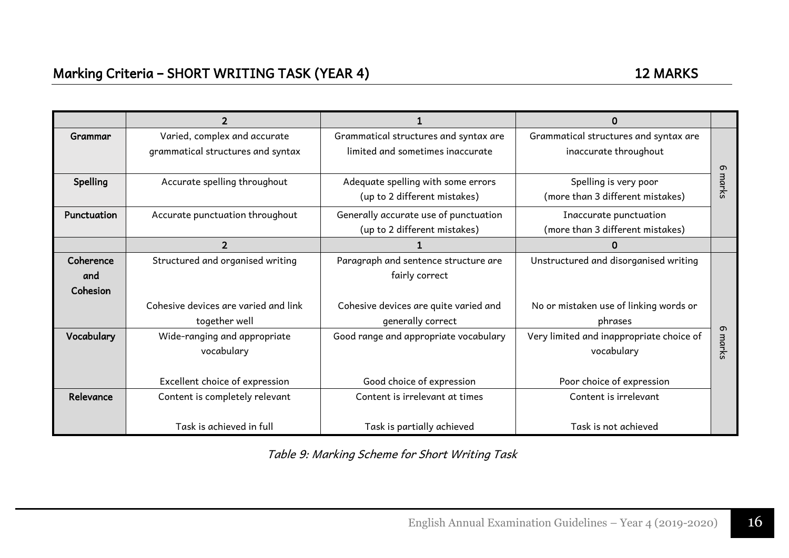| Grammar     | Varied, complex and accurate         | Grammatical structures and syntax are | Grammatical structures and syntax are    |       |
|-------------|--------------------------------------|---------------------------------------|------------------------------------------|-------|
|             | grammatical structures and syntax    | limited and sometimes inaccurate      | inaccurate throughout                    |       |
|             |                                      |                                       |                                          | ന     |
| Spelling    | Accurate spelling throughout         | Adequate spelling with some errors    | Spelling is very poor                    | marks |
|             |                                      | (up to 2 different mistakes)          | (more than 3 different mistakes)         |       |
| Punctuation | Accurate punctuation throughout      | Generally accurate use of punctuation | Inaccurate punctuation                   |       |
|             |                                      | (up to 2 different mistakes)          | (more than 3 different mistakes)         |       |
|             | $\overline{2}$                       |                                       |                                          |       |
| Coherence   | Structured and organised writing     | Paragraph and sentence structure are  | Unstructured and disorganised writing    |       |
| and         |                                      | fairly correct                        |                                          |       |
| Cohesion    |                                      |                                       |                                          |       |
|             | Cohesive devices are varied and link | Cohesive devices are quite varied and | No or mistaken use of linking words or   |       |
|             | together well                        | generally correct                     | phrases                                  |       |
| Vocabulary  | Wide-ranging and appropriate         | Good range and appropriate vocabulary | Very limited and inappropriate choice of | ത     |
|             | vocabulary                           |                                       | vocabulary                               | marks |
|             |                                      |                                       |                                          |       |
|             | Excellent choice of expression       | Good choice of expression             | Poor choice of expression                |       |
| Relevance   | Content is completely relevant       | Content is irrelevant at times        | Content is irrelevant                    |       |
|             |                                      |                                       |                                          |       |
|             | Task is achieved in full             | Task is partially achieved            | Task is not achieved                     |       |

Table 9: Marking Scheme for Short Writing Task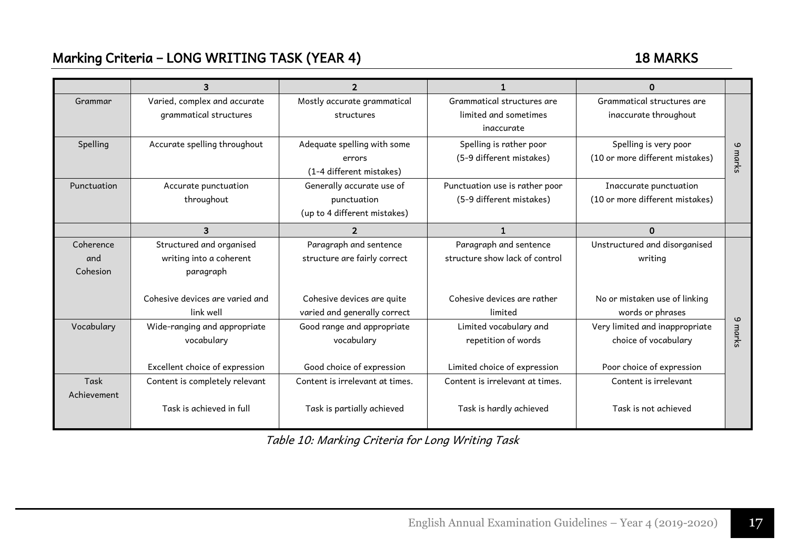### Marking Criteria – LONG WRITING TASK (YEAR 4) 18 MARKS

|             | 3                               | $\mathbf{2}$                    |                                 | 0                               |         |
|-------------|---------------------------------|---------------------------------|---------------------------------|---------------------------------|---------|
| Grammar     | Varied, complex and accurate    | Mostly accurate grammatical     | Grammatical structures are      | Grammatical structures are      |         |
|             | grammatical structures          | structures                      | limited and sometimes           | inaccurate throughout           |         |
|             |                                 |                                 | inaccurate                      |                                 |         |
| Spelling    | Accurate spelling throughout    | Adequate spelling with some     | Spelling is rather poor         | Spelling is very poor           | $\circ$ |
|             |                                 | errors                          | (5-9 different mistakes)        | (10 or more different mistakes) | marks   |
|             |                                 | (1-4 different mistakes)        |                                 |                                 |         |
| Punctuation | Accurate punctuation            | Generally accurate use of       | Punctuation use is rather poor  | Inaccurate punctuation          |         |
|             | throughout                      | punctuation                     | (5-9 different mistakes)        | (10 or more different mistakes) |         |
|             |                                 | (up to 4 different mistakes)    |                                 |                                 |         |
|             | 3                               | $\overline{2}$                  | 1                               | 0                               |         |
| Coherence   | Structured and organised        | Paragraph and sentence          | Paragraph and sentence          | Unstructured and disorganised   |         |
| and         | writing into a coherent         | structure are fairly correct    | structure show lack of control  | writing                         |         |
| Cohesion    | paragraph                       |                                 |                                 |                                 |         |
|             |                                 |                                 |                                 |                                 |         |
|             | Cohesive devices are varied and | Cohesive devices are quite      | Cohesive devices are rather     | No or mistaken use of linking   |         |
|             | link well                       | varied and generally correct    | limited                         | words or phrases                | ဖ       |
| Vocabulary  | Wide-ranging and appropriate    | Good range and appropriate      | Limited vocabulary and          | Very limited and inappropriate  |         |
|             | vocabulary                      | vocabulary                      | repetition of words             | choice of vocabulary            | marks   |
|             |                                 |                                 |                                 |                                 |         |
|             | Excellent choice of expression  | Good choice of expression       | Limited choice of expression    | Poor choice of expression       |         |
| Task        | Content is completely relevant  | Content is irrelevant at times. | Content is irrelevant at times. | Content is irrelevant           |         |
| Achievement |                                 |                                 |                                 |                                 |         |
|             | Task is achieved in full        | Task is partially achieved      | Task is hardly achieved         | Task is not achieved            |         |
|             |                                 |                                 |                                 |                                 |         |

Table 10: Marking Criteria for Long Writing Task